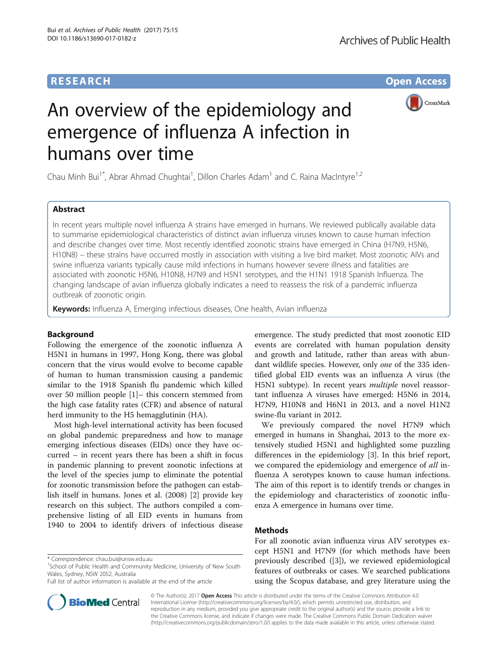# **RESEARCH CHE Open Access**



# An overview of the epidemiology and emergence of influenza A infection in humans over time

Chau Minh Bui<sup>1\*</sup>, Abrar Ahmad Chughtai<sup>1</sup>, Dillon Charles Adam<sup>1</sup> and C. Raina MacIntyre<sup>1,2</sup>

### Abstract

In recent years multiple novel influenza A strains have emerged in humans. We reviewed publically available data to summarise epidemiological characteristics of distinct avian influenza viruses known to cause human infection and describe changes over time. Most recently identified zoonotic strains have emerged in China (H7N9, H5N6, H10N8) – these strains have occurred mostly in association with visiting a live bird market. Most zoonotic AIVs and swine influenza variants typically cause mild infections in humans however severe illness and fatalities are associated with zoonotic H5N6, H10N8, H7N9 and H5N1 serotypes, and the H1N1 1918 Spanish Influenza. The changing landscape of avian influenza globally indicates a need to reassess the risk of a pandemic influenza outbreak of zoonotic origin.

Keywords: Influenza A, Emerging infectious diseases, One health, Avian influenza

#### Background

Following the emergence of the zoonotic influenza A H5N1 in humans in 1997, Hong Kong, there was global concern that the virus would evolve to become capable of human to human transmission causing a pandemic similar to the 1918 Spanish flu pandemic which killed over 50 million people [\[1](#page-6-0)]– this concern stemmed from the high case fatality rates (CFR) and absence of natural herd immunity to the H5 hemagglutinin (HA).

Most high-level international activity has been focused on global pandemic preparedness and how to manage emerging infectious diseases (EIDs) once they have occurred – in recent years there has been a shift in focus in pandemic planning to prevent zoonotic infections at the level of the species jump to eliminate the potential for zoonotic transmission before the pathogen can establish itself in humans. Jones et al. (2008) [[2](#page-6-0)] provide key research on this subject. The authors compiled a comprehensive listing of all EID events in humans from 1940 to 2004 to identify drivers of infectious disease

\* Correspondence: [chau.bui@unsw.edu.au](mailto:chau.bui@unsw.edu.au) <sup>1</sup>

<sup>1</sup>School of Public Health and Community Medicine, University of New South Wales, Sydney, NSW 2052, Australia

Full list of author information is available at the end of the article



We previously compared the novel H7N9 which emerged in humans in Shanghai, 2013 to the more extensively studied H5N1 and highlighted some puzzling differences in the epidemiology [[3\]](#page-6-0). In this brief report, we compared the epidemiology and emergence of all influenza A serotypes known to cause human infections. The aim of this report is to identify trends or changes in the epidemiology and characteristics of zoonotic influenza A emergence in humans over time.

#### Methods

For all zoonotic avian influenza virus AIV serotypes except H5N1 and H7N9 (for which methods have been previously described ([\[3](#page-6-0)]), we reviewed epidemiological features of outbreaks or cases. We searched publications using the Scopus database, and grey literature using the



© The Author(s). 2017 Open Access This article is distributed under the terms of the Creative Commons Attribution 4.0 International License [\(http://creativecommons.org/licenses/by/4.0/](http://creativecommons.org/licenses/by/4.0/)), which permits unrestricted use, distribution, and reproduction in any medium, provided you give appropriate credit to the original author(s) and the source, provide a link to the Creative Commons license, and indicate if changes were made. The Creative Commons Public Domain Dedication waiver [\(http://creativecommons.org/publicdomain/zero/1.0/](http://creativecommons.org/publicdomain/zero/1.0/)) applies to the data made available in this article, unless otherwise stated.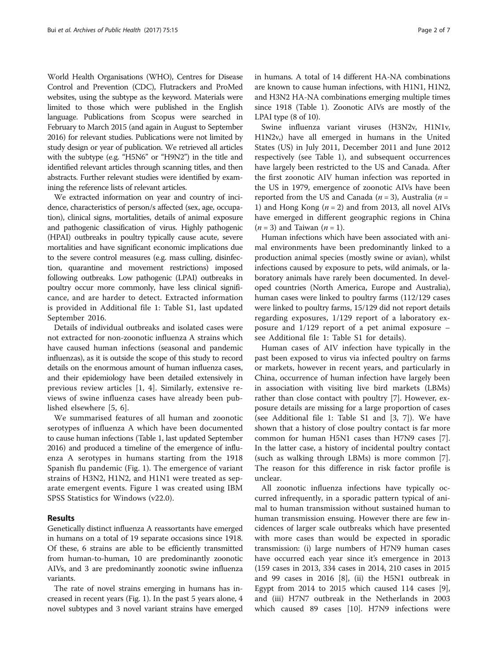World Health Organisations (WHO), Centres for Disease Control and Prevention (CDC), Flutrackers and ProMed websites, using the subtype as the keyword. Materials were limited to those which were published in the English language. Publications from Scopus were searched in February to March 2015 (and again in August to September 2016) for relevant studies. Publications were not limited by study design or year of publication. We retrieved all articles with the subtype (e.g. "H5N6" or "H9N2") in the title and identified relevant articles through scanning titles, and then abstracts. Further relevant studies were identified by examining the reference lists of relevant articles.

We extracted information on year and country of incidence, characteristics of person/s affected (sex, age, occupation), clinical signs, mortalities, details of animal exposure and pathogenic classification of virus. Highly pathogenic (HPAI) outbreaks in poultry typically cause acute, severe mortalities and have significant economic implications due to the severe control measures (e.g. mass culling, disinfection, quarantine and movement restrictions) imposed following outbreaks. Low pathogenic (LPAI) outbreaks in poultry occur more commonly, have less clinical significance, and are harder to detect. Extracted information is provided in Additional file [1:](#page-5-0) Table S1, last updated September 2016.

Details of individual outbreaks and isolated cases were not extracted for non-zoonotic influenza A strains which have caused human infections (seasonal and pandemic influenzas), as it is outside the scope of this study to record details on the enormous amount of human influenza cases, and their epidemiology have been detailed extensively in previous review articles [[1, 4](#page-6-0)]. Similarly, extensive reviews of swine influenza cases have already been published elsewhere [[5, 6\]](#page-6-0).

We summarised features of all human and zoonotic serotypes of influenza A which have been documented to cause human infections (Table [1,](#page-2-0) last updated September 2016) and produced a timeline of the emergence of influenza A serotypes in humans starting from the 1918 Spanish flu pandemic (Fig. [1](#page-4-0)). The emergence of variant strains of H3N2, H1N2, and H1N1 were treated as separate emergent events. Figure [1](#page-4-0) was created using IBM SPSS Statistics for Windows (v22.0).

#### Results

Genetically distinct influenza A reassortants have emerged in humans on a total of 19 separate occasions since 1918. Of these, 6 strains are able to be efficiently transmitted from human-to-human, 10 are predominantly zoonotic AIVs, and 3 are predominantly zoonotic swine influenza variants.

The rate of novel strains emerging in humans has increased in recent years (Fig. [1](#page-4-0)). In the past 5 years alone, 4 novel subtypes and 3 novel variant strains have emerged

in humans. A total of 14 different HA-NA combinations are known to cause human infections, with H1N1, H1N2, and H3N2 HA-NA combinations emerging multiple times since 1918 (Table [1\)](#page-2-0). Zoonotic AIVs are mostly of the LPAI type (8 of 10).

Swine influenza variant viruses (H3N2v, H1N1v, H1N2v,) have all emerged in humans in the United States (US) in July 2011, December 2011 and June 2012 respectively (see Table [1\)](#page-2-0), and subsequent occurrences have largely been restricted to the US and Canada. After the first zoonotic AIV human infection was reported in the US in 1979, emergence of zoonotic AIVs have been reported from the US and Canada ( $n = 3$ ), Australia ( $n =$ 1) and Hong Kong  $(n = 2)$  and from 2013, all novel AIVs have emerged in different geographic regions in China  $(n = 3)$  and Taiwan  $(n = 1)$ .

Human infections which have been associated with animal environments have been predominantly linked to a production animal species (mostly swine or avian), whilst infections caused by exposure to pets, wild animals, or laboratory animals have rarely been documented. In developed countries (North America, Europe and Australia), human cases were linked to poultry farms (112/129 cases were linked to poultry farms, 15/129 did not report details regarding exposures, 1/129 report of a laboratory exposure and 1/129 report of a pet animal exposure – see Additional file [1](#page-5-0): Table S1 for details).

Human cases of AIV infection have typically in the past been exposed to virus via infected poultry on farms or markets, however in recent years, and particularly in China, occurrence of human infection have largely been in association with visiting live bird markets (LBMs) rather than close contact with poultry [\[7](#page-6-0)]. However, exposure details are missing for a large proportion of cases (see Additional file [1:](#page-5-0) Table S1 and [[3, 7\]](#page-6-0)). We have shown that a history of close poultry contact is far more common for human H5N1 cases than H7N9 cases [\[7](#page-6-0)]. In the latter case, a history of incidental poultry contact (such as walking through LBMs) is more common [\[7](#page-6-0)]. The reason for this difference in risk factor profile is unclear.

All zoonotic influenza infections have typically occurred infrequently, in a sporadic pattern typical of animal to human transmission without sustained human to human transmission ensuing. However there are few incidences of larger scale outbreaks which have presented with more cases than would be expected in sporadic transmission: (i) large numbers of H7N9 human cases have occurred each year since it's emergence in 2013 (159 cases in 2013, 334 cases in 2014, 210 cases in 2015 and 99 cases in 2016 [\[8](#page-6-0)], (ii) the H5N1 outbreak in Egypt from 2014 to 2015 which caused 114 cases [\[9](#page-6-0)], and (iii) H7N7 outbreak in the Netherlands in 2003 which caused 89 cases [[10](#page-6-0)]. H7N9 infections were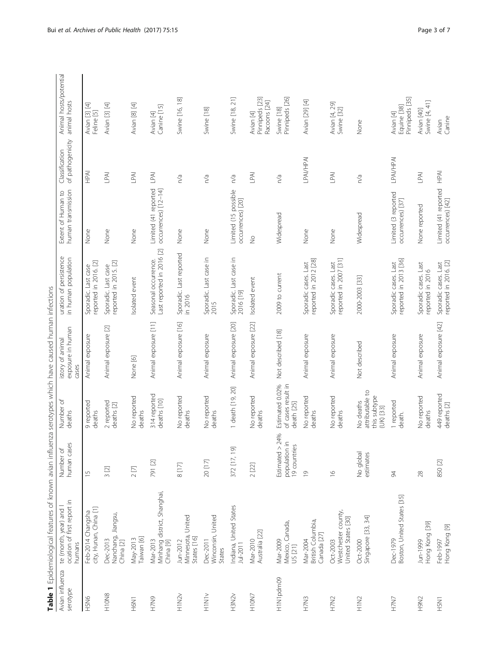| $\overline{\phantom{a}}$<br>ļ<br>ł    |
|---------------------------------------|
| <b></b><br>í<br>$\overline{a}$        |
| ļ<br>I<br><b>Service Service</b><br>j |
|                                       |
| $\frac{1}{2}$<br>ואת היי ויי וא וא    |
| j<br>i<br>しょくさい<br>)<br>5             |
| ĺ<br>ŗ<br>.<br>.<br>.<br>.            |
| $\frac{1}{2}$<br>$\frac{5}{2}$<br>i   |
| I<br>$\frac{1}{2}$                    |
| ً<br>ّّ<br>$\mathbf{r}$               |
| i<br>j                                |
| j<br>J<br>$\overline{ }$              |
| $\frac{1}{2}$<br>$\mathfrak l$        |
|                                       |
| Table 1 Epic                          |

<span id="page-2-0"></span>

|                             | Table 1 Epidemiological features of known avian influenza serotypes which have caused human infections |                                                     |                                                           |                                                |                                                   |                                                |                                    |                                             |
|-----------------------------|--------------------------------------------------------------------------------------------------------|-----------------------------------------------------|-----------------------------------------------------------|------------------------------------------------|---------------------------------------------------|------------------------------------------------|------------------------------------|---------------------------------------------|
| Avian influenza<br>serotype | ocation of first report in<br>year) and<br>te (month,<br>humans                                        | Number of<br>human cases                            | Number of<br>deaths                                       | exposure in human<br>istory of animal<br>cases | uration of persistence<br>in human population     | Extent of Human to<br>human transmission       | of pathogenicity<br>Classification | Animal hosts/potential<br>animal hosts      |
| H5N6                        | city, Hunan, China [1]<br>Feb-2014 Changsha                                                            | $\frac{1}{1}$                                       | 9 reported<br>deaths                                      | Animal exposure                                | reported in 2016. [2]<br>Sporadic. Last case      | None                                           | <b>NdH</b>                         | Avian [3] [4]<br>Feline [5]                 |
| H10N8                       | Nanchang, Jiangsu,<br>Dec-2013<br>China <sup>[2]</sup>                                                 | 3[2]                                                | 2 reported<br>deaths [2]                                  | Animal exposure [2]                            | reported in 2015. [2]<br>Sporadic. Last case      | None                                           | LPAI                               | Avian [3] [4]                               |
| H6N1                        | Taiwan [6]<br>May-2013                                                                                 | 2[7]                                                | No reported<br>deaths                                     | None [6]                                       | Isolated event                                    | None                                           | LPAI                               | Avian [8] [4]                               |
| H7N9                        | Minhang district, Shanghai,<br>China [9]<br>Mar-2013                                                   | 791 [2]                                             | 314 reported<br>deaths [10]                               | Animal exposure [11]                           | Last reported in 2016 [2]<br>Seasonal occurrence. | Limited (41 reported<br>occurrences) [12-14]   | LPAI                               | Canine [15]<br>Avian [4]                    |
| H1N2v                       | Minnesota, United<br>States [16]<br>Jun-2012                                                           | $8$ [17] $\,$                                       | No reported<br>deaths                                     | Animal exposure [16]                           | Sporadic. Last reported<br>in 2016                | None                                           | n/a                                | Swine [16, 18]                              |
| HIN1v                       | Winconsin, United<br>Dec-2011<br>States                                                                | 20 [17]                                             | No reported<br>deaths                                     | Animal exposure                                | Sporadic. Last case in<br>2015                    | None                                           | n/a                                | Swine [18]                                  |
| H3N2v                       | Indiana, United States<br>Jul-2011                                                                     | 372 [17, 19]                                        | 1 death [19, 20]                                          | Animal exposure [20]                           | Sporadic. Last case in<br>2016 [19]               | Limited (15 possible<br>occurrences) [20]      | n/a                                | Swine [18, 21]                              |
| H10N7                       | Australia [22]<br>Mar-2010                                                                             | 2 [22]                                              | No reported<br>deaths                                     | Animal exposure [22]                           | Isolated event                                    | $\frac{1}{2}$                                  | LPAI                               | Pinnipeds [23]<br>Racoons [24]<br>Avian [4] |
| H1N1pdm09                   | Mexico, Canada,<br>Mar-2009<br>US [21]                                                                 | 24%<br>population in<br>19 countries<br>Estimated > | Estimated 0.02%<br>of cases result in<br>death [25]       | Not described [18]                             | 2009 to current                                   | Widespread                                     | n/a                                | Pinnipeds [26]<br>Swine [18]                |
| H7N3                        | British Columbia,<br>Canada [27]<br>Mar-2004                                                           | $\overline{0}$                                      | No reported<br>deaths                                     | Animal exposure                                | reported in 2012 [28]<br>Sporadic cases. Last     | None                                           | <b>LPAI/HPAI</b>                   | Avian [29] [4]                              |
| H7N2                        | Westchester county,<br>United States [30]<br>Oct-2003                                                  | $\frac{\circ}{\circ}$                               | No reported<br>deaths                                     | Animal exposure                                | reported in 2007 [31]<br>Sporadic cases. Last     | None                                           | $\mathbb{L}^{\mathsf{PA}}$         | Avian [4, 29]<br>Swine [32]                 |
| H1N <sub>2</sub>            | ३४<br>Singapore [33,<br>Oct-2000                                                                       | No global<br>estimates                              | attributable to<br>this subtype<br>No deaths<br>(UK) [33] | Not described                                  | 2000-2003 [33]                                    | Widespread                                     | n/a                                | None                                        |
| H7N7                        | Dec-1979<br>Boston, United States [35]                                                                 | 94                                                  | 1 reported<br>death.                                      | Animal exposure                                | reported in 2013 [36]<br>Sporadic cases. Last     | Limited (3 reported<br>occurrences) [37]       | LPAI/HPAI                          | Pinnipeds [35]<br>Equine [38]<br>Avian [4]  |
| H9N2                        | Hong Kong [39]<br>Jun-1999                                                                             | 28                                                  | No reported<br>deaths                                     | Animal exposure                                | Sporadic cases. Last<br>reported in 2016          | None reported                                  | $\mathbb{L}^{\mathsf{PA}}$         | Swine [4, 41]<br>Avian [40]                 |
| <b>INSH</b>                 | Hong Kong [9]<br>Feb-1997                                                                              | 850 [2]                                             | 449 reported<br>deaths [2]                                | Animal exposure [42]                           | reported in 2016. [2]<br>Sporadic cases. Last     | Limited (41 reported HPAI<br>occurrences) [42] |                                    | Canine<br>Avian                             |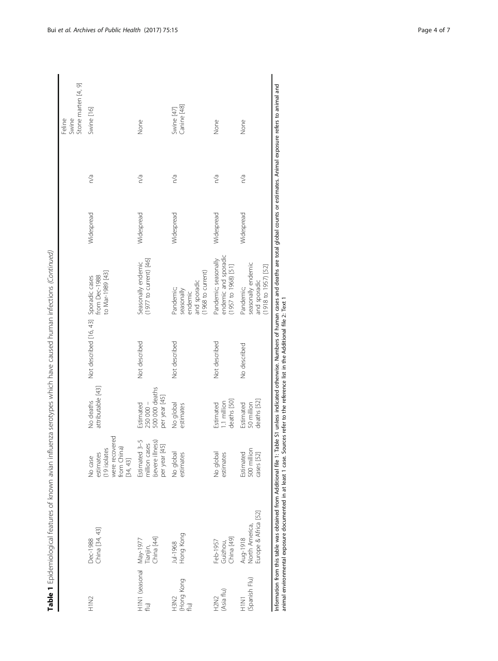| j<br>j<br>١<br>ś<br>ļ<br>- 77<br>١                                                                                   |
|----------------------------------------------------------------------------------------------------------------------|
| j<br>l<br>١<br>j<br>j                                                                                                |
| .<br>.<br>.<br>.<br>$\frac{1}{2}$<br>$\overline{a}$                                                                  |
| ī<br>s<br>i<br>$\frac{1}{2}$<br>۱<br>5<br>Ś<br>ה כוור<br>ׇ֚֘֝֬<br>!<br>S                                             |
| 1<br>I<br>月月                                                                                                         |
| $\tilde{\zeta}$<br>1<br>j<br>$5 - 2 - 2 = 1$<br>į                                                                    |
| į<br>J<br>ī                                                                                                          |
| ١                                                                                                                    |
|                                                                                                                      |
| י<br>נ<br>١<br>֖֖֖֖֖֖֖֧ׅ֖֧֪֪֪ׅ֪ׅ֪֪֪֧֪֧֚֚֚֚֚֚֚֚֚֚֚֚֚֚֚֚֚֚֚֚֡֝֓֬֓֓֞֬֝֓֞֓֓֬֓֓֬֝֓֬֝֬֓֞֬֝֓֬֝֬֝֬֓֬֝֬֝֬֝֬֝֬<br>i<br>֚֚<br>í |
| l<br>j<br>I<br>j<br>$\mathbf{r}$<br>ï<br>i<br>j                                                                      |
| ï<br>j<br>;<br>)<br>i<br>1<br>i<br>Ī<br>l                                                                            |
| able 1                                                                                                               |

| China [34, 43]<br>Hong Kong<br>China [49]<br>China [44]<br>Dec-1988<br>H1N1 (seasonal May-1977<br>flu)<br>Feb-1957<br>Guizhou,<br>Jul-1968<br>Tianjin, | were recovered<br>Estimated 3-5<br>(severe illness)<br>million cases<br>$\overline{5}$<br>from China)<br>(19 isolates<br>per year [4<br>No global<br>No global<br>estimates<br>estimates<br>estimates<br>No case<br>[34, 43] | attributable [43]<br>500 000 deaths<br>per year [45]<br>deaths [50]<br>No deaths<br>1.1 million<br>250 000 -<br>Estimated<br>Estimated<br>No global<br>estimates | Not described [16, 43] Sporadic cases<br>from Dec-1988<br>Not described<br>Not described<br>Not described | endemic and sporadic<br>Pandemic; seasonally<br>$(1977$ to current) $[46]$<br>Seasonally endemic<br>$(1957 to 1968)$ [51]<br>(1968 to current)<br>to Mar-1989 [43]<br>and sporadic<br>Pandemic;<br>seasonally<br>endemic | Widespread<br>Widespread<br>Widespread<br>Widespread | n/a<br>n/a<br>n/a<br>n/a | Stone marten [4, 9]<br>Canine [48]<br>Swine [47]<br>Swine [16]<br>Swine<br>None<br>None |
|--------------------------------------------------------------------------------------------------------------------------------------------------------|------------------------------------------------------------------------------------------------------------------------------------------------------------------------------------------------------------------------------|------------------------------------------------------------------------------------------------------------------------------------------------------------------|-----------------------------------------------------------------------------------------------------------|--------------------------------------------------------------------------------------------------------------------------------------------------------------------------------------------------------------------------|------------------------------------------------------|--------------------------|-----------------------------------------------------------------------------------------|
| Europe & Africa [52]<br>Aug-1918<br>North America,                                                                                                     | 500 million<br>Estimated<br>cases [52]                                                                                                                                                                                       | deaths [52]<br>50 million<br>Estimated                                                                                                                           | No described                                                                                              | seasonally endemic<br>$(1918 to 1957)$ [52]<br>and sporadic<br>Pandemic;                                                                                                                                                 | Widespread                                           | n/a                      | None                                                                                    |
|                                                                                                                                                        |                                                                                                                                                                                                                              |                                                                                                                                                                  |                                                                                                           | Information from this table was obtained from Additional file 1: Table S1 unless indicated otherwise. Numbers of human cases and deaths are total global counts or estimates. Animal exposure refers to animal and       |                                                      |                          |                                                                                         |

Bui et al. Archives of Public Health (2017) 75:15 Page 4 of 7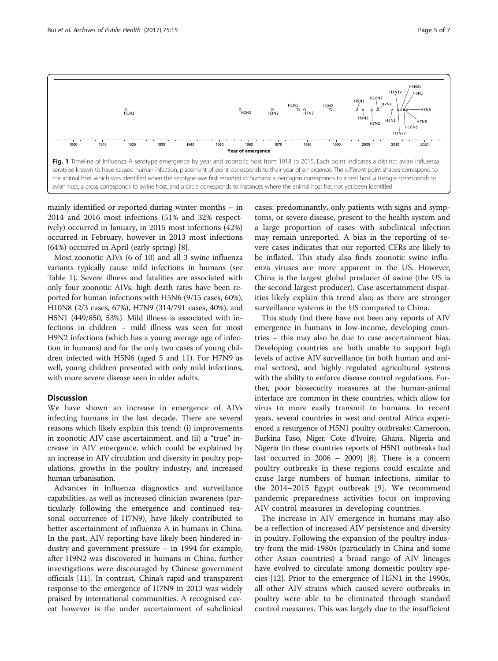<span id="page-4-0"></span>

mainly identified or reported during winter months – in 2014 and 2016 most infections (51% and 32% respectively) occurred in January, in 2015 most infections (42%) occurred in February, however in 2013 most infections (64%) occurred in April (early spring) [[8\]](#page-6-0).

Most zoonotic AIVs (6 of 10) and all 3 swine influenza variants typically cause mild infections in humans (see Table [1](#page-2-0)). Severe illness and fatalities are associated with only four zoonotic AIVs: high death rates have been reported for human infections with H5N6 (9/15 cases, 60%), H10N8 (2/3 cases, 67%), H7N9 (314/791 cases, 40%), and H5N1 (449/850, 53%). Mild illness is associated with infections in children – mild illness was seen for most H9N2 infections (which has a young average age of infection in humans) and for the only two cases of young children infected with H5N6 (aged 5 and 11). For H7N9 as well, young children presented with only mild infections, with more severe disease seen in older adults.

#### **Discussion**

We have shown an increase in emergence of AIVs infecting humans in the last decade. There are several reasons which likely explain this trend: (i) improvements in zoonotic AIV case ascertainment, and (ii) a "true" increase in AIV emergence, which could be explained by an increase in AIV circulation and diversity in poultry populations, growths in the poultry industry, and increased human urbanisation.

Advances in influenza diagnostics and surveillance capabilities, as well as increased clinician awareness (particularly following the emergence and continued seasonal occurrence of H7N9), have likely contributed to better ascertainment of influenza A in humans in China. In the past, AIV reporting have likely been hindered industry and government pressure – in 1994 for example, after H9N2 was discovered in humans in China, further investigations were discouraged by Chinese government officials [\[11\]](#page-6-0). In contrast, China's rapid and transparent response to the emergence of H7N9 in 2013 was widely praised by international communities. A recognised caveat however is the under ascertainment of subclinical

cases: predominantly, only patients with signs and symptoms, or severe disease, present to the health system and a large proportion of cases with subclinical infection may remain unreported. A bias in the reporting of severe cases indicates that our reported CFRs are likely to be inflated. This study also finds zoonotic swine influenza viruses are more apparent in the US. However, China is the largest global producer of swine (the US is the second largest producer). Case ascertainment disparities likely explain this trend also; as there are stronger surveillance systems in the US compared to China.

This study find there have not been any reports of AIV emergence in humans in low-income, developing countries – this may also be due to case ascertainment bias. Developing countries are both unable to support high levels of active AIV surveillance (in both human and animal sectors), and highly regulated agricultural systems with the ability to enforce disease control regulations. Further, poor biosecurity measures at the human-animal interface are common in these countries, which allow for virus to more easily transmit to humans. In recent years, several countries in west and central Africa experienced a resurgence of H5N1 poultry outbreaks: Cameroon, Burkina Faso, Niger, Cote d'Ivoire, Ghana, Nigeria and Nigeria (in these countries reports of H5N1 outbreaks had last occurred in 2006 – 2009) [\[8\]](#page-6-0). There is a concern poultry outbreaks in these regions could escalate and cause large numbers of human infections, similar to the 2014–2015 Egypt outbreak [[9\]](#page-6-0). We recommend pandemic preparedness activities focus on improving AIV control measures in developing countries.

The increase in AIV emergence in humans may also be a reflection of increased AIV persistence and diversity in poultry. Following the expansion of the poultry industry from the mid-1980s (particularly in China and some other Asian countries) a broad range of AIV lineages have evolved to circulate among domestic poultry species [[12](#page-6-0)]. Prior to the emergence of H5N1 in the 1990s, all other AIV strains which caused severe outbreaks in poultry were able to be eliminated through standard control measures. This was largely due to the insufficient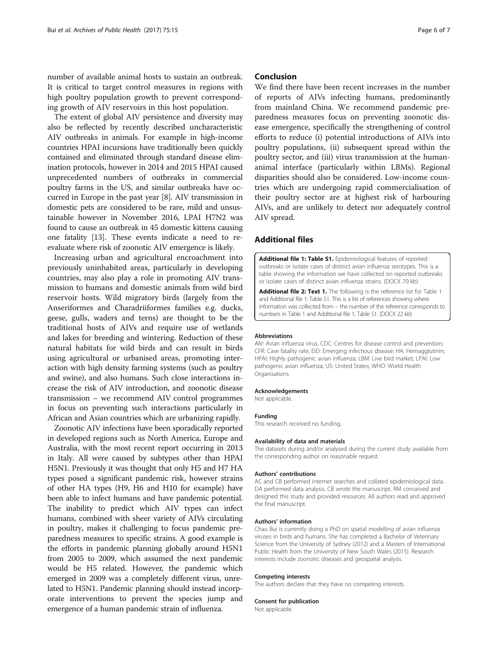<span id="page-5-0"></span>number of available animal hosts to sustain an outbreak. It is critical to target control measures in regions with high poultry population growth to prevent corresponding growth of AIV reservoirs in this host population.

The extent of global AIV persistence and diversity may also be reflected by recently described uncharacteristic AIV outbreaks in animals. For example in high-income countries HPAI incursions have traditionally been quickly contained and eliminated through standard disease elimination protocols, however in 2014 and 2015 HPAI caused unprecedented numbers of outbreaks in commercial poultry farms in the US, and similar outbreaks have occurred in Europe in the past year [\[8](#page-6-0)]. AIV transmission in domestic pets are considered to be rare, mild and unsustainable however in November 2016, LPAI H7N2 was found to cause an outbreak in 45 domestic kittens causing one fatality [[13](#page-6-0)]. These events indicate a need to reevaluate where risk of zoonotic AIV emergence is likely.

Increasing urban and agricultural encroachment into previously uninhabited areas, particularly in developing countries, may also play a role in promoting AIV transmission to humans and domestic animals from wild bird reservoir hosts. Wild migratory birds (largely from the Anseriformes and Charadriiformes families e.g. ducks, geese, gulls, waders and terns) are thought to be the traditional hosts of AIVs and require use of wetlands and lakes for breeding and wintering. Reduction of these natural habitats for wild birds and can result in birds using agricultural or urbanised areas, promoting interaction with high density farming systems (such as poultry and swine), and also humans. Such close interactions increase the risk of AIV introduction, and zoonotic disease transmission – we recommend AIV control programmes in focus on preventing such interactions particularly in African and Asian countries which are urbanizing rapidly.

Zoonotic AIV infections have been sporadically reported in developed regions such as North America, Europe and Australia, with the most recent report occurring in 2013 in Italy. All were caused by subtypes other than HPAI H5N1. Previously it was thought that only H5 and H7 HA types posed a significant pandemic risk, however strains of other HA types (H9, H6 and H10 for example) have been able to infect humans and have pandemic potential. The inability to predict which AIV types can infect humans, combined with sheer variety of AIVs circulating in poultry, makes it challenging to focus pandemic preparedness measures to specific strains. A good example is the efforts in pandemic planning globally around H5N1 from 2005 to 2009, which assumed the next pandemic would be H5 related. However, the pandemic which emerged in 2009 was a completely different virus, unrelated to H5N1. Pandemic planning should instead incorporate interventions to prevent the species jump and emergence of a human pandemic strain of influenza.

#### Conclusion

We find there have been recent increases in the number of reports of AIVs infecting humans, predominantly from mainland China. We recommend pandemic preparedness measures focus on preventing zoonotic disease emergence, specifically the strengthening of control efforts to reduce (i) potential introductions of AIVs into poultry populations, (ii) subsequent spread within the poultry sector, and (iii) virus transmission at the humananimal interface (particularly within LBMs). Regional disparities should also be considered. Low-income countries which are undergoing rapid commercialisation of their poultry sector are at highest risk of harbouring AIVs, and are unlikely to detect nor adequately control AIV spread.

#### Additional files

[Additional file 1: Table S1.](dx.doi.org/10.1186/s13690-017-0182-z) Epidemiological features of reported outbreaks or isolate cases of distinct avian influenza serotypes. This is a table showing the information we have collected on reported outbreaks or isolate cases of distinct avian influenza strains. (DOCX 70 kb)

[Additional file 2: Text 1.](dx.doi.org/10.1186/s13690-017-0182-z) The following is the reference list for Table 1 and Additional file 1: Table S1. This is a list of references showing where information was collected from – the number of the reference corresponds to numbers in Table 1 and Additional file 1: Table S1. (DOCX 22 kb)

#### Abbreviations

AIV: Avian influenza virus; CDC: Centres for disease control and prevention; CFR: Case fatality rate; EID: Emerging infectious disease; HA: Hemagglutinin; HPAI: Highly pathogenic avian influenza; LBM: Live bird market; LPAI: Low pathogenic avian influenza; US: United States; WHO: World Health Organisations

#### Acknowledgements

Not applicable.

#### Funding

This research received no funding.

#### Availability of data and materials

The datasets during and/or analysed during the current study available from the corresponding author on reasonable request.

#### Authors' contributions

AC and CB performed internet searches and collated epidemiological data. DA performed data analysis. CB wrote the manuscript. RM conceived and designed this study and provided resources. All authors read and approved the final manuscript.

#### Authors' information

Chau Bui is currently doing a PhD on spatial modelling of avian influenza viruses in birds and humans. She has completed a Bachelor of Veterinary Science from the University of Sydney (2012) and a Masters of International Public Health from the University of New South Wales (2015). Research interests include zoonotic diseases and geospatial analysis.

#### Competing interests

The authors declare that they have no competing interests.

#### Consent for publication

Not applicable.